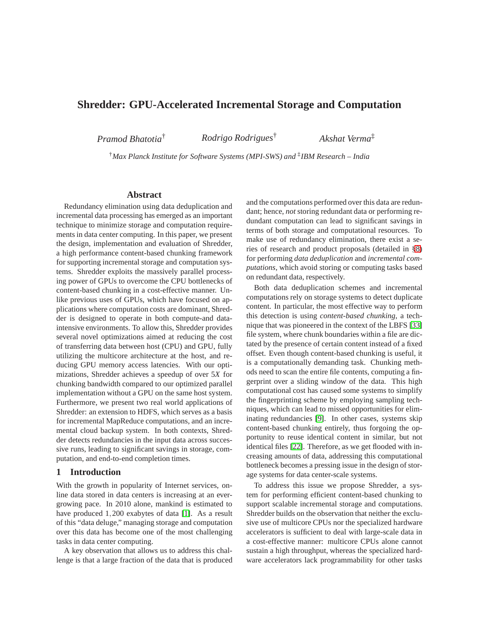# **Shredder: GPU-Accelerated Incremental Storage and Computation**

*Pramod Bhatotia*† *Rodrigo Rodrigues*† *Akshat Verma*‡

†*Max Planck Institute for Software Systems (MPI-SWS) and* ‡ *IBM Research – India*

#### **Abstract**

Redundancy elimination using data deduplication and incremental data processing has emerged as an important technique to minimize storage and computation requirements in data center computing. In this paper, we present the design, implementation and evaluation of Shredder, a high performance content-based chunking framework for supporting incremental storage and computation systems. Shredder exploits the massively parallel processing power of GPUs to overcome the CPU bottlenecks of content-based chunking in a cost-effective manner. Unlike previous uses of GPUs, which have focused on applications where computation costs are dominant, Shredder is designed to operate in both compute-and dataintensive environments. To allow this, Shredder provides several novel optimizations aimed at reducing the cost of transferring data between host (CPU) and GPU, fully utilizing the multicore architecture at the host, and reducing GPU memory access latencies. With our optimizations, Shredder achieves a speedup of over 5*X* for chunking bandwidth compared to our optimized parallel implementation without a GPU on the same host system. Furthermore, we present two real world applications of Shredder: an extension to HDFS, which serves as a basis for incremental MapReduce computations, and an incremental cloud backup system. In both contexts, Shredder detects redundancies in the input data across successive runs, leading to significant savings in storage, computation, and end-to-end completion times.

# **1 Introduction**

With the growth in popularity of Internet services, online data stored in data centers is increasing at an evergrowing pace. In 2010 alone, mankind is estimated to have produced 1,200 exabytes of data [\[1\]](#page-13-0). As a result of this "data deluge," managing storage and computation over this data has become one of the most challenging tasks in data center computing.

A key observation that allows us to address this challenge is that a large fraction of the data that is produced and the computations performed over this data are redundant; hence, *not* storing redundant data or performing redundant computation can lead to significant savings in terms of both storage and computational resources. To make use of redundancy elimination, there exist a series of research and product proposals (detailed in [§8\)](#page-12-0) for performing *data deduplication* and *incremental computations*, which avoid storing or computing tasks based on redundant data, respectively.

Both data deduplication schemes and incremental computations rely on storage systems to detect duplicate content. In particular, the most effective way to perform this detection is using *content-based chunking*, a technique that was pioneered in the context of the LBFS [\[33\]](#page-14-0) file system, where chunk boundaries within a file are dictated by the presence of certain content instead of a fixed offset. Even though content-based chunking is useful, it is a computationally demanding task. Chunking methods need to scan the entire file contents, computing a fingerprint over a sliding window of the data. This high computational cost has caused some systems to simplify the fingerprinting scheme by employing sampling techniques, which can lead to missed opportunities for eliminating redundancies [\[9\]](#page-13-1). In other cases, systems skip content-based chunking entirely, thus forgoing the opportunity to reuse identical content in similar, but not identical files [\[22\]](#page-13-2). Therefore, as we get flooded with increasing amounts of data, addressing this computational bottleneck becomes a pressing issue in the design of storage systems for data center-scale systems.

To address this issue we propose Shredder, a system for performing efficient content-based chunking to support scalable incremental storage and computations. Shredder builds on the observation that neither the exclusive use of multicore CPUs nor the specialized hardware accelerators is sufficient to deal with large-scale data in a cost-effective manner: multicore CPUs alone cannot sustain a high throughput, whereas the specialized hardware accelerators lack programmability for other tasks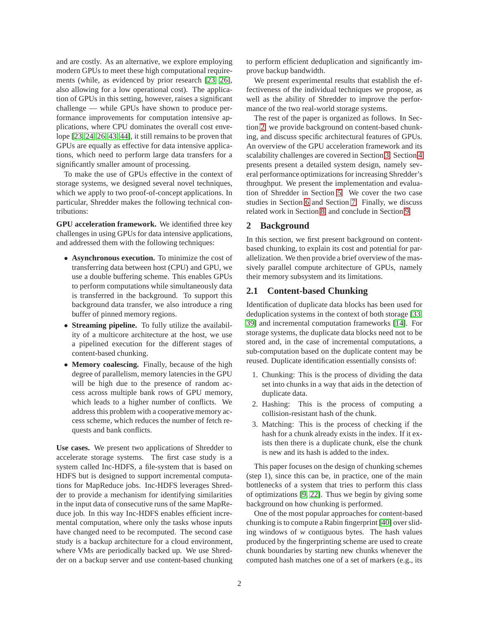and are costly. As an alternative, we explore employing modern GPUs to meet these high computational requirements (while, as evidenced by prior research [\[23,](#page-13-3) [26\]](#page-13-4), also allowing for a low operational cost). The application of GPUs in this setting, however, raises a significant challenge — while GPUs have shown to produce performance improvements for computation intensive applications, where CPU dominates the overall cost envelope [\[23,](#page-13-3) [24,](#page-13-5) [26,](#page-13-4) [43,](#page-14-1) [44\]](#page-14-2), it still remains to be proven that GPUs are equally as effective for data intensive applications, which need to perform large data transfers for a significantly smaller amount of processing.

To make the use of GPUs effective in the context of storage systems, we designed several novel techniques, which we apply to two proof-of-concept applications. In particular, Shredder makes the following technical contributions:

**GPU acceleration framework.** We identified three key challenges in using GPUs for data intensive applications, and addressed them with the following techniques:

- **Asynchronous execution.** To minimize the cost of transferring data between host (CPU) and GPU, we use a double buffering scheme. This enables GPUs to perform computations while simultaneously data is transferred in the background. To support this background data transfer, we also introduce a ring buffer of pinned memory regions.
- **Streaming pipeline.** To fully utilize the availability of a multicore architecture at the host, we use a pipelined execution for the different stages of content-based chunking.
- **Memory coalescing.** Finally, because of the high degree of parallelism, memory latencies in the GPU will be high due to the presence of random access across multiple bank rows of GPU memory, which leads to a higher number of conflicts. We address this problem with a cooperative memory access scheme, which reduces the number of fetch requests and bank conflicts.

**Use cases.** We present two applications of Shredder to accelerate storage systems. The first case study is a system called Inc-HDFS, a file-system that is based on HDFS but is designed to support incremental computations for MapReduce jobs. Inc-HDFS leverages Shredder to provide a mechanism for identifying similarities in the input data of consecutive runs of the same MapReduce job. In this way Inc-HDFS enables efficient incremental computation, where only the tasks whose inputs have changed need to be recomputed. The second case study is a backup architecture for a cloud environment, where VMs are periodically backed up. We use Shredder on a backup server and use content-based chunking to perform efficient deduplication and significantly improve backup bandwidth.

We present experimental results that establish the effectiveness of the individual techniques we propose, as well as the ability of Shredder to improve the performance of the two real-world storage systems.

The rest of the paper is organized as follows. In Section [2,](#page-1-0) we provide background on content-based chunking, and discuss specific architectural features of GPUs. An overview of the GPU acceleration framework and its scalability challenges are covered in Section [3.](#page-3-0) Section [4](#page-4-0) presents present a detailed system design, namely several performance optimizations for increasing Shredder's throughput. We present the implementation and evaluation of Shredder in Section [5.](#page-8-0) We cover the two case studies in Section [6](#page-9-0) and Section [7.](#page-10-0) Finally, we discuss related work in Section [8,](#page-12-0) and conclude in Section [9.](#page-12-1)

#### <span id="page-1-0"></span>**2 Background**

In this section, we first present background on contentbased chunking, to explain its cost and potential for parallelization. We then provide a brief overview of the massively parallel compute architecture of GPUs, namely their memory subsystem and its limitations.

# **2.1 Content-based Chunking**

Identification of duplicate data blocks has been used for deduplication systems in the context of both storage [\[33,](#page-14-0) [39\]](#page-14-3) and incremental computation frameworks [\[14\]](#page-13-6). For storage systems, the duplicate data blocks need not to be stored and, in the case of incremental computations, a sub-computation based on the duplicate content may be reused. Duplicate identification essentially consists of:

- 1. Chunking: This is the process of dividing the data set into chunks in a way that aids in the detection of duplicate data.
- 2. Hashing: This is the process of computing a collision-resistant hash of the chunk.
- 3. Matching: This is the process of checking if the hash for a chunk already exists in the index. If it exists then there is a duplicate chunk, else the chunk is new and its hash is added to the index.

This paper focuses on the design of chunking schemes (step 1), since this can be, in practice, one of the main bottlenecks of a system that tries to perform this class of optimizations [\[9,](#page-13-1) [22\]](#page-13-2). Thus we begin by giving some background on how chunking is performed.

One of the most popular approaches for content-based chunking is to compute a Rabin fingerprint [\[40\]](#page-14-4) over sliding windows of *w* contiguous bytes. The hash values produced by the fingerprinting scheme are used to create chunk boundaries by starting new chunks whenever the computed hash matches one of a set of markers (e.g., its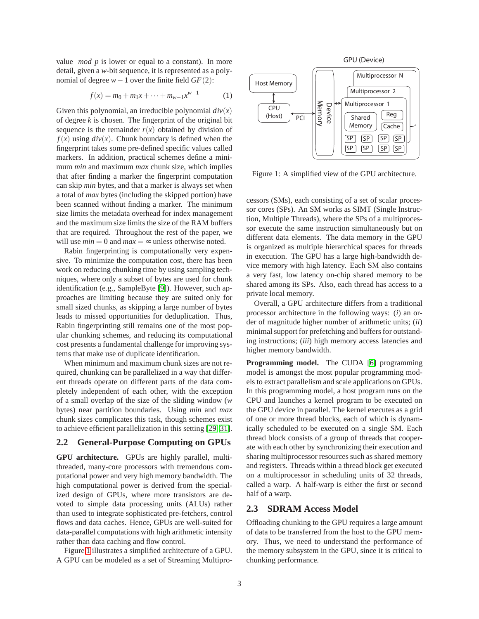value *mod p* is lower or equal to a constant). In more detail, given a *w*-bit sequence, it is represented as a polynomial of degree *w*−1 over the finite field *GF*(2):

$$
f(x) = m_0 + m_1 x + \dots + m_{w-1} x^{w-1}
$$
 (1)

Given this polynomial, an irreducible polynomial  $div(x)$ of degree *k* is chosen. The fingerprint of the original bit sequence is the remainder  $r(x)$  obtained by division of  $f(x)$  using  $div(x)$ . Chunk boundary is defined when the fingerprint takes some pre-defined specific values called markers. In addition, practical schemes define a minimum *min* and maximum *max* chunk size, which implies that after finding a marker the fingerprint computation can skip *min* bytes, and that a marker is always set when a total of *max* bytes (including the skipped portion) have been scanned without finding a marker. The minimum size limits the metadata overhead for index management and the maximum size limits the size of the RAM buffers that are required. Throughout the rest of the paper, we will use  $min = 0$  and  $max = \infty$  unless otherwise noted.

Rabin fingerprinting is computationally very expensive. To minimize the computation cost, there has been work on reducing chunking time by using sampling techniques, where only a subset of bytes are used for chunk identification (e.g., SampleByte [\[9\]](#page-13-1)). However, such approaches are limiting because they are suited only for small sized chunks, as skipping a large number of bytes leads to missed opportunities for deduplication. Thus, Rabin fingerprinting still remains one of the most popular chunking schemes, and reducing its computational cost presents a fundamental challenge for improving systems that make use of duplicate identification.

When minimum and maximum chunk sizes are not required, chunking can be parallelized in a way that different threads operate on different parts of the data completely independent of each other, with the exception of a small overlap of the size of the sliding window (*w* bytes) near partition boundaries. Using *min* and *max* chunk sizes complicates this task, though schemes exist to achieve efficient parallelization in this setting [\[29,](#page-13-7) [31\]](#page-14-5).

# <span id="page-2-1"></span>**2.2 General-Purpose Computing on GPUs**

**GPU architecture.** GPUs are highly parallel, multithreaded, many-core processors with tremendous computational power and very high memory bandwidth. The high computational power is derived from the specialized design of GPUs, where more transistors are devoted to simple data processing units (ALUs) rather than used to integrate sophisticated pre-fetchers, control flows and data caches. Hence, GPUs are well-suited for data-parallel computations with high arithmetic intensity rather than data caching and flow control.

Figure [1](#page-2-0) illustrates a simplified architecture of a GPU. A GPU can be modeled as a set of Streaming Multipro-



<span id="page-2-0"></span>Figure 1: A simplified view of the GPU architecture.

cessors (SMs), each consisting of a set of scalar processor cores (SPs). An SM works as SIMT (Single Instruction, Multiple Threads), where the SPs of a multiprocessor execute the same instruction simultaneously but on different data elements. The data memory in the GPU is organized as multiple hierarchical spaces for threads in execution. The GPU has a large high-bandwidth device memory with high latency. Each SM also contains a very fast, low latency on-chip shared memory to be shared among its SPs. Also, each thread has access to a private local memory.

Overall, a GPU architecture differs from a traditional processor architecture in the following ways: (*i*) an order of magnitude higher number of arithmetic units; (*ii*) minimal support for prefetching and buffers for outstanding instructions; (*iii*) high memory access latencies and higher memory bandwidth.

**Programming model.** The CUDA [\[6\]](#page-13-8) programming model is amongst the most popular programming models to extract parallelism and scale applications on GPUs. In this programming model, a host program runs on the CPU and launches a kernel program to be executed on the GPU device in parallel. The kernel executes as a grid of one or more thread blocks, each of which is dynamically scheduled to be executed on a single SM. Each thread block consists of a group of threads that cooperate with each other by synchronizing their execution and sharing multiprocessor resources such as shared memory and registers. Threads within a thread block get executed on a multiprocessor in scheduling units of 32 threads, called a warp. A half-warp is either the first or second half of a warp.

# **2.3 SDRAM Access Model**

Offloading chunking to the GPU requires a large amount of data to be transferred from the host to the GPU memory. Thus, we need to understand the performance of the memory subsystem in the GPU, since it is critical to chunking performance.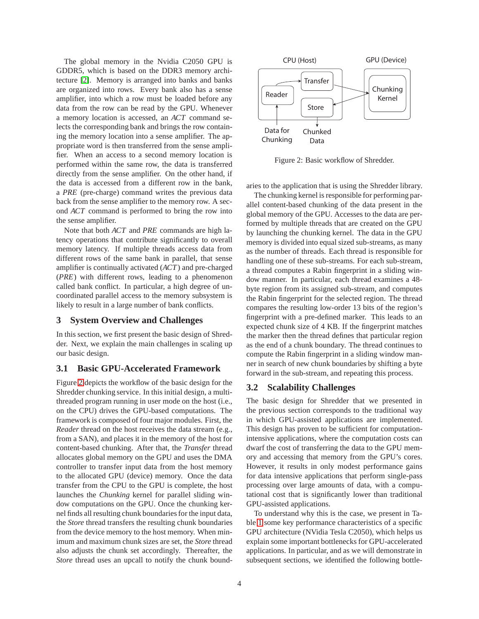The global memory in the Nvidia C2050 GPU is GDDR5, which is based on the DDR3 memory architecture [\[2\]](#page-13-9). Memory is arranged into banks and banks are organized into rows. Every bank also has a sense amplifier, into which a row must be loaded before any data from the row can be read by the GPU. Whenever a memory location is accessed, an *ACT* command selects the corresponding bank and brings the row containing the memory location into a sense amplifier. The appropriate word is then transferred from the sense amplifier. When an access to a second memory location is performed within the same row, the data is transferred directly from the sense amplifier. On the other hand, if the data is accessed from a different row in the bank, a *PRE* (pre-charge) command writes the previous data back from the sense amplifier to the memory row. A second *ACT* command is performed to bring the row into the sense amplifier.

Note that both *ACT* and *PRE* commands are high latency operations that contribute significantly to overall memory latency. If multiple threads access data from different rows of the same bank in parallel, that sense amplifier is continually activated (*ACT*) and pre-charged (*PRE*) with different rows, leading to a phenomenon called bank conflict. In particular, a high degree of uncoordinated parallel access to the memory subsystem is likely to result in a large number of bank conflicts.

#### <span id="page-3-0"></span>**3 System Overview and Challenges**

In this section, we first present the basic design of Shredder. Next, we explain the main challenges in scaling up our basic design.

#### **3.1 Basic GPU-Accelerated Framework**

Figure [2](#page-3-1) depicts the workflow of the basic design for the Shredder chunking service. In this initial design, a multithreaded program running in user mode on the host (i.e., on the CPU) drives the GPU-based computations. The framework is composed of four major modules. First, the *Reader* thread on the host receives the data stream (e.g., from a SAN), and places it in the memory of the host for content-based chunking. After that, the *Transfer* thread allocates global memory on the GPU and uses the DMA controller to transfer input data from the host memory to the allocated GPU (device) memory. Once the data transfer from the CPU to the GPU is complete, the host launches the *Chunking* kernel for parallel sliding window computations on the GPU. Once the chunking kernel finds all resulting chunk boundaries for the input data, the *Store* thread transfers the resulting chunk boundaries from the device memory to the host memory. When minimum and maximum chunk sizes are set, the *Store* thread also adjusts the chunk set accordingly. Thereafter, the *Store* thread uses an upcall to notify the chunk bound-



<span id="page-3-1"></span>Figure 2: Basic workflow of Shredder.

aries to the application that is using the Shredder library.

The chunking kernel is responsible for performing parallel content-based chunking of the data present in the global memory of the GPU. Accesses to the data are performed by multiple threads that are created on the GPU by launching the chunking kernel. The data in the GPU memory is divided into equal sized sub-streams, as many as the number of threads. Each thread is responsible for handling one of these sub-streams. For each sub-stream, a thread computes a Rabin fingerprint in a sliding window manner. In particular, each thread examines a 48 byte region from its assigned sub-stream, and computes the Rabin fingerprint for the selected region. The thread compares the resulting low-order 13 bits of the region's fingerprint with a pre-defined marker. This leads to an expected chunk size of 4 KB. If the fingerprint matches the marker then the thread defines that particular region as the end of a chunk boundary. The thread continues to compute the Rabin fingerprint in a sliding window manner in search of new chunk boundaries by shifting a byte forward in the sub-stream, and repeating this process.

### **3.2 Scalability Challenges**

The basic design for Shredder that we presented in the previous section corresponds to the traditional way in which GPU-assisted applications are implemented. This design has proven to be sufficient for computationintensive applications, where the computation costs can dwarf the cost of transferring the data to the GPU memory and accessing that memory from the GPU's cores. However, it results in only modest performance gains for data intensive applications that perform single-pass processing over large amounts of data, with a computational cost that is significantly lower than traditional GPU-assisted applications.

To understand why this is the case, we present in Table [1](#page-4-1) some key performance characteristics of a specific GPU architecture (NVidia Tesla C2050), which helps us explain some important bottlenecks for GPU-accelerated applications. In particular, and as we will demonstrate in subsequent sections, we identified the following bottle-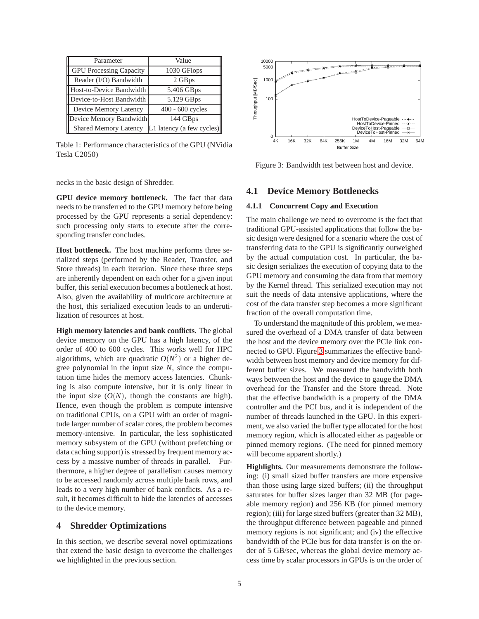| Parameter                      | Value                     |  |  |
|--------------------------------|---------------------------|--|--|
| <b>GPU Processing Capacity</b> | 1030 GFlops               |  |  |
| Reader (I/O) Bandwidth         | 2 GBps                    |  |  |
| Host-to-Device Bandwidth       | 5.406 GBps                |  |  |
| Device-to-Host Bandwidth       | 5.129 GBps                |  |  |
| Device Memory Latency          | 400 - 600 cycles          |  |  |
| Device Memory Bandwidth        | 144 GBps                  |  |  |
| <b>Shared Memory Latency</b>   | L1 latency (a few cycles) |  |  |

<span id="page-4-1"></span>Table 1: Performance characteristics of the GPU (NVidia Tesla C2050)

necks in the basic design of Shredder.

**GPU device memory bottleneck.** The fact that data needs to be transferred to the GPU memory before being processed by the GPU represents a serial dependency: such processing only starts to execute after the corresponding transfer concludes.

**Host bottleneck.** The host machine performs three serialized steps (performed by the Reader, Transfer, and Store threads) in each iteration. Since these three steps are inherently dependent on each other for a given input buffer, this serial execution becomes a bottleneck at host. Also, given the availability of multicore architecture at the host, this serialized execution leads to an underutilization of resources at host.

**High memory latencies and bank conflicts.** The global device memory on the GPU has a high latency, of the order of 400 to 600 cycles. This works well for HPC algorithms, which are quadratic  $O(N^2)$  or a higher degree polynomial in the input size *N*, since the computation time hides the memory access latencies. Chunking is also compute intensive, but it is only linear in the input size  $(O(N))$ , though the constants are high). Hence, even though the problem is compute intensive on traditional CPUs, on a GPU with an order of magnitude larger number of scalar cores, the problem becomes memory-intensive. In particular, the less sophisticated memory subsystem of the GPU (without prefetching or data caching support) is stressed by frequent memory access by a massive number of threads in parallel. Furthermore, a higher degree of parallelism causes memory to be accessed randomly across multiple bank rows, and leads to a very high number of bank conflicts. As a result, it becomes difficult to hide the latencies of accesses to the device memory.

#### <span id="page-4-0"></span>**4 Shredder Optimizations**

In this section, we describe several novel optimizations that extend the basic design to overcome the challenges we highlighted in the previous section.



<span id="page-4-2"></span>Figure 3: Bandwidth test between host and device.

### <span id="page-4-3"></span>**4.1 Device Memory Bottlenecks**

#### **4.1.1 Concurrent Copy and Execution**

The main challenge we need to overcome is the fact that traditional GPU-assisted applications that follow the basic design were designed for a scenario where the cost of transferring data to the GPU is significantly outweighed by the actual computation cost. In particular, the basic design serializes the execution of copying data to the GPU memory and consuming the data from that memory by the Kernel thread. This serialized execution may not suit the needs of data intensive applications, where the cost of the data transfer step becomes a more significant fraction of the overall computation time.

To understand the magnitude of this problem, we measured the overhead of a DMA transfer of data between the host and the device memory over the PCIe link connected to GPU. Figure [3](#page-4-2) summarizes the effective bandwidth between host memory and device memory for different buffer sizes. We measured the bandwidth both ways between the host and the device to gauge the DMA overhead for the Transfer and the Store thread. Note that the effective bandwidth is a property of the DMA controller and the PCI bus, and it is independent of the number of threads launched in the GPU. In this experiment, we also varied the buffer type allocated for the host memory region, which is allocated either as pageable or pinned memory regions. (The need for pinned memory will become apparent shortly.)

**Highlights.** Our measurements demonstrate the following: (i) small sized buffer transfers are more expensive than those using large sized buffers; (ii) the throughput saturates for buffer sizes larger than 32 MB (for pageable memory region) and 256 KB (for pinned memory region); (iii) for large sized buffers (greater than 32 MB), the throughput difference between pageable and pinned memory regions is not significant; and (iv) the effective bandwidth of the PCIe bus for data transfer is on the order of 5 GB/sec, whereas the global device memory access time by scalar processors in GPUs is on the order of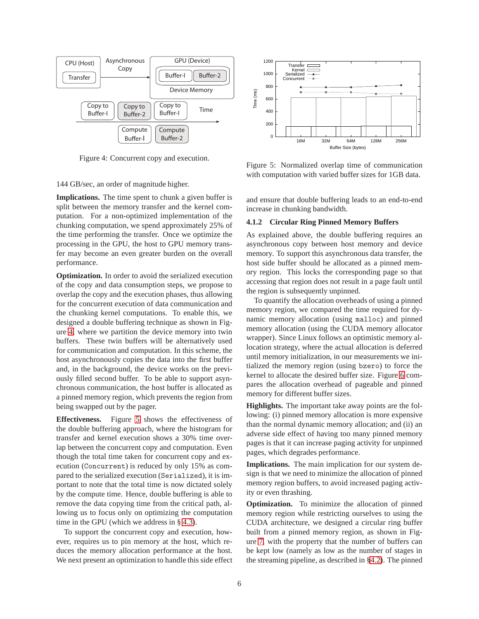

<span id="page-5-0"></span>Figure 4: Concurrent copy and execution.

144 GB/sec, an order of magnitude higher.

**Implications.** The time spent to chunk a given buffer is split between the memory transfer and the kernel computation. For a non-optimized implementation of the chunking computation, we spend approximately 25% of the time performing the transfer. Once we optimize the processing in the GPU, the host to GPU memory transfer may become an even greater burden on the overall performance.

**Optimization.** In order to avoid the serialized execution of the copy and data consumption steps, we propose to overlap the copy and the execution phases, thus allowing for the concurrent execution of data communication and the chunking kernel computations. To enable this, we designed a double buffering technique as shown in Figure [4,](#page-5-0) where we partition the device memory into twin buffers. These twin buffers will be alternatively used for communication and computation. In this scheme, the host asynchronously copies the data into the first buffer and, in the background, the device works on the previously filled second buffer. To be able to support asynchronous communication, the host buffer is allocated as a pinned memory region, which prevents the region from being swapped out by the pager.

**Effectiveness.** Figure [5](#page-5-1) shows the effectiveness of the double buffering approach, where the histogram for transfer and kernel execution shows a 30% time overlap between the concurrent copy and computation. Even though the total time taken for concurrent copy and execution (Concurrent) is reduced by only 15% as compared to the serialized execution (Serialized), it is important to note that the total time is now dictated solely by the compute time. Hence, double buffering is able to remove the data copying time from the critical path, allowing us to focus only on optimizing the computation time in the GPU (which we address in § [4.3\)](#page-7-0).

To support the concurrent copy and execution, however, requires us to pin memory at the host, which reduces the memory allocation performance at the host. We next present an optimization to handle this side effect



<span id="page-5-1"></span>Figure 5: Normalized overlap time of communication with computation with varied buffer sizes for 1GB data.

and ensure that double buffering leads to an end-to-end increase in chunking bandwidth.

#### **4.1.2 Circular Ring Pinned Memory Buffers**

As explained above, the double buffering requires an asynchronous copy between host memory and device memory. To support this asynchronous data transfer, the host side buffer should be allocated as a pinned memory region. This locks the corresponding page so that accessing that region does not result in a page fault until the region is subsequently unpinned.

To quantify the allocation overheads of using a pinned memory region, we compared the time required for dynamic memory allocation (using malloc) and pinned memory allocation (using the CUDA memory allocator wrapper). Since Linux follows an optimistic memory allocation strategy, where the actual allocation is deferred until memory initialization, in our measurements we initialized the memory region (using bzero) to force the kernel to allocate the desired buffer size. Figure [6](#page-6-0) compares the allocation overhead of pageable and pinned memory for different buffer sizes.

**Highlights.** The important take away points are the following: (i) pinned memory allocation is more expensive than the normal dynamic memory allocation; and (ii) an adverse side effect of having too many pinned memory pages is that it can increase paging activity for unpinned pages, which degrades performance.

**Implications.** The main implication for our system design is that we need to minimize the allocation of pinned memory region buffers, to avoid increased paging activity or even thrashing.

**Optimization.** To minimize the allocation of pinned memory region while restricting ourselves to using the CUDA architecture, we designed a circular ring buffer built from a pinned memory region, as shown in Figure [7,](#page-6-1) with the property that the number of buffers can be kept low (namely as low as the number of stages in the streaming pipeline, as described in [§4.2\)](#page-6-2). The pinned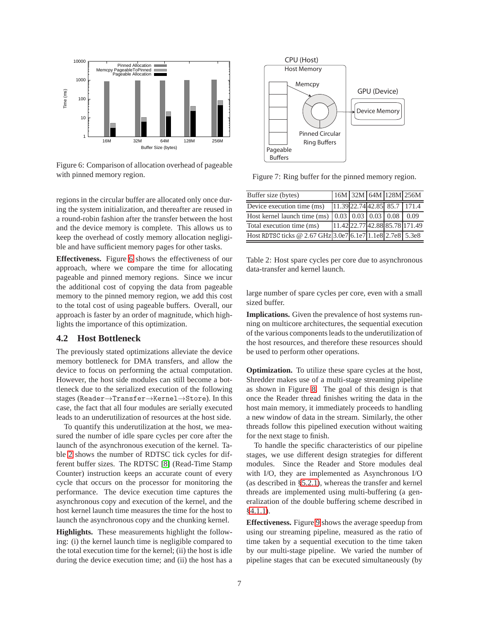

<span id="page-6-0"></span>Figure 6: Comparison of allocation overhead of pageable with pinned memory region.

regions in the circular buffer are allocated only once during the system initialization, and thereafter are reused in a round-robin fashion after the transfer between the host and the device memory is complete. This allows us to keep the overhead of costly memory allocation negligible and have sufficient memory pages for other tasks.

**Effectiveness.** Figure [6](#page-6-0) shows the effectiveness of our approach, where we compare the time for allocating pageable and pinned memory regions. Since we incur the additional cost of copying the data from pageable memory to the pinned memory region, we add this cost to the total cost of using pageable buffers. Overall, our approach is faster by an order of magnitude, which highlights the importance of this optimization.

#### <span id="page-6-2"></span>**4.2 Host Bottleneck**

The previously stated optimizations alleviate the device memory bottleneck for DMA transfers, and allow the device to focus on performing the actual computation. However, the host side modules can still become a bottleneck due to the serialized execution of the following stages (Reader→Transfer→Kernel→Store). In this case, the fact that all four modules are serially executed leads to an underutilization of resources at the host side.

To quantify this underutilization at the host, we measured the number of idle spare cycles per core after the launch of the asynchronous execution of the kernel. Table [2](#page-6-3) shows the number of RDTSC tick cycles for different buffer sizes. The RDTSC [\[8\]](#page-13-10) (Read-Time Stamp Counter) instruction keeps an accurate count of every cycle that occurs on the processor for monitoring the performance. The device execution time captures the asynchronous copy and execution of the kernel, and the host kernel launch time measures the time for the host to launch the asynchronous copy and the chunking kernel.

**Highlights.** These measurements highlight the following: (i) the kernel launch time is negligible compared to the total execution time for the kernel; (ii) the host is idle during the device execution time; and (ii) the host has a



<span id="page-6-1"></span>Figure 7: Ring buffer for the pinned memory region.

| Buffer size (bytes)                                       |  |                                      | 16M 32M 64M 128M 256M          |
|-----------------------------------------------------------|--|--------------------------------------|--------------------------------|
| Device execution time (ms)                                |  |                                      | 11.39 22.74 42.85 85.7 171.4   |
| Host kernel launch time (ms)                              |  | $0.03 \mid 0.03 \mid 0.03 \mid 0.08$ | 0.09                           |
| Total execution time (ms)                                 |  |                                      | 11.42 22.77 42.88 85.78 171.49 |
| Host RDTSC ticks @ 2.67 GHz 3.0e7 6.1e7 1.1e8 2.7e8 5.3e8 |  |                                      |                                |

<span id="page-6-3"></span>Table 2: Host spare cycles per core due to asynchronous data-transfer and kernel launch.

large number of spare cycles per core, even with a small sized buffer.

**Implications.** Given the prevalence of host systems running on multicore architectures, the sequential execution of the various components leads to the underutilization of the host resources, and therefore these resources should be used to perform other operations.

**Optimization.** To utilize these spare cycles at the host, Shredder makes use of a multi-stage streaming pipeline as shown in Figure [8.](#page-7-1) The goal of this design is that once the Reader thread finishes writing the data in the host main memory, it immediately proceeds to handling a new window of data in the stream. Similarly, the other threads follow this pipelined execution without waiting for the next stage to finish.

To handle the specific characteristics of our pipeline stages, we use different design strategies for different modules. Since the Reader and Store modules deal with I/O, they are implemented as Asynchronous I/O (as described in [§5.2.1\)](#page-8-1), whereas the transfer and kernel threads are implemented using multi-buffering (a generalization of the double buffering scheme described in [§4.1.1\)](#page-4-3).

**Effectiveness.** Figure [9](#page-7-2) shows the average speedup from using our streaming pipeline, measured as the ratio of time taken by a sequential execution to the time taken by our multi-stage pipeline. We varied the number of pipeline stages that can be executed simultaneously (by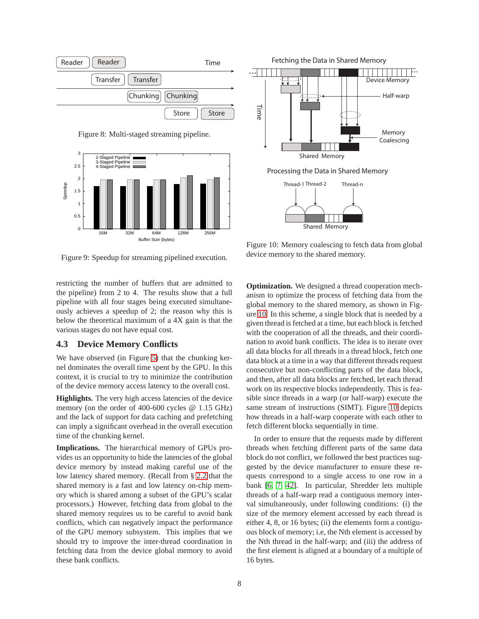

<span id="page-7-1"></span>Figure 8: Multi-staged streaming pipeline.





<span id="page-7-2"></span>Figure 9: Speedup for streaming pipelined execution.

restricting the number of buffers that are admitted to the pipeline) from 2 to 4. The results show that a full pipeline with all four stages being executed simultaneously achieves a speedup of 2; the reason why this is below the theoretical maximum of a 4X gain is that the various stages do not have equal cost.

#### <span id="page-7-0"></span>**4.3 Device Memory Conflicts**

We have observed (in Figure [5\)](#page-5-1) that the chunking kernel dominates the overall time spent by the GPU. In this context, it is crucial to try to minimize the contribution of the device memory access latency to the overall cost.

**Highlights.** The very high access latencies of the device memory (on the order of 400-600 cycles @ 1.15 GHz) and the lack of support for data caching and prefetching can imply a significant overhead in the overall execution time of the chunking kernel.

**Implications.** The hierarchical memory of GPUs provides us an opportunity to hide the latencies of the global device memory by instead making careful use of the low latency shared memory. (Recall from § [2.2](#page-2-1) that the shared memory is a fast and low latency on-chip memory which is shared among a subset of the GPU's scalar processors.) However, fetching data from global to the shared memory requires us to be careful to avoid bank conflicts, which can negatively impact the performance of the GPU memory subsystem. This implies that we should try to improve the inter-thread coordination in fetching data from the device global memory to avoid these bank conflicts.

<span id="page-7-3"></span>Figure 10: Memory coalescing to fetch data from global device memory to the shared memory.

**Optimization.** We designed a thread cooperation mechanism to optimize the process of fetching data from the global memory to the shared memory, as shown in Figure [10.](#page-7-3) In this scheme, a single block that is needed by a given thread is fetched at a time, but each block is fetched with the cooperation of all the threads, and their coordination to avoid bank conflicts. The idea is to iterate over all data blocks for all threads in a thread block, fetch one data block at a time in a way that different threads request consecutive but non-conflicting parts of the data block, and then, after all data blocks are fetched, let each thread work on its respective blocks independently. This is feasible since threads in a warp (or half-warp) execute the same stream of instructions (SIMT). Figure [10](#page-7-3) depicts how threads in a half-warp cooperate with each other to fetch different blocks sequentially in time.

In order to ensure that the requests made by different threads when fetching different parts of the same data block do not conflict, we followed the best practices suggested by the device manufacturer to ensure these requests correspond to a single access to one row in a bank [\[6,](#page-13-8) [7,](#page-13-11) [42\]](#page-14-6). In particular, Shredder lets multiple threads of a half-warp read a contiguous memory interval simultaneously, under following conditions: (i) the size of the memory element accessed by each thread is either 4, 8, or 16 bytes; (ii) the elements form a contiguous block of memory; i.e, the Nth element is accessed by the Nth thread in the half-warp; and (iii) the address of the first element is aligned at a boundary of a multiple of 16 bytes.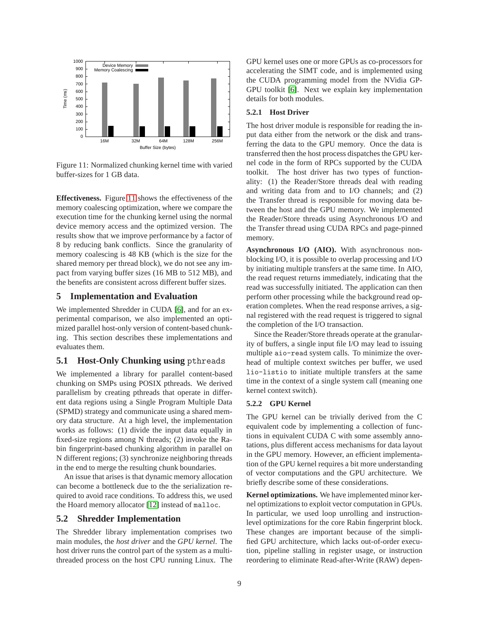

<span id="page-8-2"></span>Figure 11: Normalized chunking kernel time with varied buffer-sizes for 1 GB data.

**Effectiveness.** Figure [11](#page-8-2) shows the effectiveness of the memory coalescing optimization, where we compare the execution time for the chunking kernel using the normal device memory access and the optimized version. The results show that we improve performance by a factor of 8 by reducing bank conflicts. Since the granularity of memory coalescing is 48 KB (which is the size for the shared memory per thread block), we do not see any impact from varying buffer sizes (16 MB to 512 MB), and the benefits are consistent across different buffer sizes.

# <span id="page-8-0"></span>**5 Implementation and Evaluation**

We implemented Shredder in CUDA [\[6\]](#page-13-8), and for an experimental comparison, we also implemented an optimized parallel host-only version of content-based chunking. This section describes these implementations and evaluates them.

#### **5.1 Host-Only Chunking using** pthreads

We implemented a library for parallel content-based chunking on SMPs using POSIX pthreads. We derived parallelism by creating pthreads that operate in different data regions using a Single Program Multiple Data (SPMD) strategy and communicate using a shared memory data structure. At a high level, the implementation works as follows: (1) divide the input data equally in fixed-size regions among N threads; (2) invoke the Rabin fingerprint-based chunking algorithm in parallel on N different regions; (3) synchronize neighboring threads in the end to merge the resulting chunk boundaries.

An issue that arises is that dynamic memory allocation can become a bottleneck due to the the serialization required to avoid race conditions. To address this, we used the Hoard memory allocator [\[12\]](#page-13-12) instead of malloc.

#### **5.2 Shredder Implementation**

The Shredder library implementation comprises two main modules, the *host driver* and the *GPU kernel*. The host driver runs the control part of the system as a multithreaded process on the host CPU running Linux. The GPU kernel uses one or more GPUs as co-processors for accelerating the SIMT code, and is implemented using the CUDA programming model from the NVidia GP-GPU toolkit [\[6\]](#page-13-8). Next we explain key implementation details for both modules.

#### <span id="page-8-1"></span>**5.2.1 Host Driver**

The host driver module is responsible for reading the input data either from the network or the disk and transferring the data to the GPU memory. Once the data is transferred then the host process dispatches the GPU kernel code in the form of RPCs supported by the CUDA toolkit. The host driver has two types of functionality: (1) the Reader/Store threads deal with reading and writing data from and to I/O channels; and (2) the Transfer thread is responsible for moving data between the host and the GPU memory. We implemented the Reader/Store threads using Asynchronous I/O and the Transfer thread using CUDA RPCs and page-pinned memory.

**Asynchronous I/O (AIO).** With asynchronous nonblocking I/O, it is possible to overlap processing and I/O by initiating multiple transfers at the same time. In AIO, the read request returns immediately, indicating that the read was successfully initiated. The application can then perform other processing while the background read operation completes. When the read response arrives, a signal registered with the read request is triggered to signal the completion of the I/O transaction.

Since the Reader/Store threads operate at the granularity of buffers, a single input file I/O may lead to issuing multiple aio-read system calls. To minimize the overhead of multiple context switches per buffer, we used lio-listio to initiate multiple transfers at the same time in the context of a single system call (meaning one kernel context switch).

#### **5.2.2 GPU Kernel**

The GPU kernel can be trivially derived from the C equivalent code by implementing a collection of functions in equivalent CUDA C with some assembly annotations, plus different access mechanisms for data layout in the GPU memory. However, an efficient implementation of the GPU kernel requires a bit more understanding of vector computations and the GPU architecture. We briefly describe some of these considerations.

**Kernel optimizations.** We have implemented minor kernel optimizations to exploit vector computation in GPUs. In particular, we used loop unrolling and instructionlevel optimizations for the core Rabin fingerprint block. These changes are important because of the simplified GPU architecture, which lacks out-of-order execution, pipeline stalling in register usage, or instruction reordering to eliminate Read-after-Write (RAW) depen-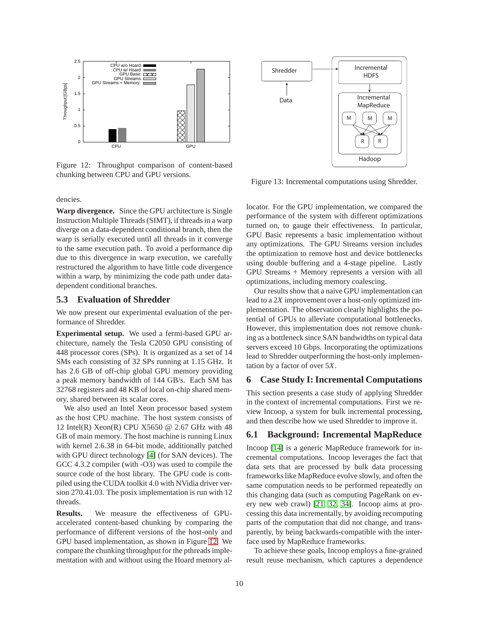

<span id="page-9-1"></span>Figure 12: Throughput comparison of content-based chunking between CPU and GPU versions.

dencies.

**Warp divergence.** Since the GPU architecture is Single Instruction Multiple Threads (SIMT), if threads in a warp diverge on a data-dependent conditional branch, then the warp is serially executed until all threads in it converge to the same execution path. To avoid a performance dip due to this divergence in warp execution, we carefully restructured the algorithm to have little code divergence within a warp, by minimizing the code path under datadependent conditional branches.

#### **5.3 Evaluation of Shredder**

We now present our experimental evaluation of the performance of Shredder.

**Experimental setup.** We used a fermi-based GPU architecture, namely the Tesla C2050 GPU consisting of 448 processor cores (SPs). It is organized as a set of 14 SMs each consisting of 32 SPs running at 1.15 GHz. It has 2.6 GB of off-chip global GPU memory providing a peak memory bandwidth of 144 GB/s. Each SM has 32768 registers and 48 KB of local on-chip shared memory, shared between its scalar cores.

We also used an Intel Xeon processor based system as the host CPU machine. The host system consists of 12 Intel(R) Xeon(R) CPU X5650 @ 2.67 GHz with 48 GB of main memory. The host machine is running Linux with kernel 2.6.38 in 64-bit mode, additionally patched with GPU direct technology [\[4\]](#page-13-13) (for SAN devices). The GCC 4.3.2 compiler (with -O3) was used to compile the source code of the host library. The GPU code is compiled using the CUDA toolkit 4.0 with NVidia driver version 270.41.03. The posix implementation is run with 12 threads.

**Results.** We measure the effectiveness of GPUaccelerated content-based chunking by comparing the performance of different versions of the host-only and GPU based implementation, as shown in Figure [12.](#page-9-1) We compare the chunking throughput for the pthreads implementation with and without using the Hoard memory al-



<span id="page-9-2"></span>Figure 13: Incremental computations using Shredder.

locator. For the GPU implementation, we compared the performance of the system with different optimizations turned on, to gauge their effectiveness. In particular, GPU Basic represents a basic implementation without any optimizations. The GPU Streams version includes the optimization to remove host and device bottlenecks using double buffering and a 4-stage pipeline. Lastly GPU Streams + Memory represents a version with all optimizations, including memory coalescing.

Our results show that a naive GPU implementation can lead to a 2*X* improvement over a host-only optimized implementation. The observation clearly highlights the potential of GPUs to alleviate computational bottlenecks. However, this implementation does not remove chunking as a bottleneck since SAN bandwidths on typical data servers exceed 10 Gbps. Incorporating the optimizations lead to Shredder outperforming the host-only implementation by a factor of over 5*X*.

### <span id="page-9-0"></span>**6 Case Study I: Incremental Computations**

This section presents a case study of applying Shredder in the context of incremental computations. First we review Incoop, a system for bulk incremental processing, and then describe how we used Shredder to improve it.

# **6.1 Background: Incremental MapReduce**

Incoop [\[14\]](#page-13-6) is a generic MapReduce framework for incremental computations. Incoop leverages the fact that data sets that are processed by bulk data processing frameworks like MapReduce evolve slowly, and often the same computation needs to be performed repeatedly on this changing data (such as computing PageRank on every new web crawl) [\[21,](#page-13-14) [32,](#page-14-7) [34\]](#page-14-8). Incoop aims at processing this data incrementally, by avoiding recomputing parts of the computation that did not change, and transparently, by being backwards-compatible with the interface used by MapReduce frameworks.

To achieve these goals, Incoop employs a fine-grained result reuse mechanism, which captures a dependence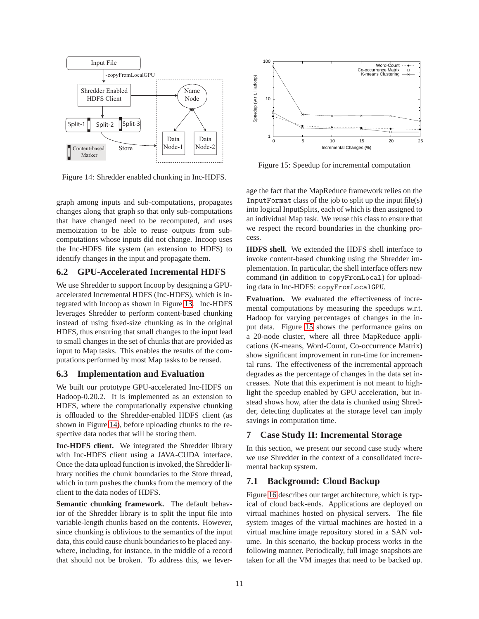

<span id="page-10-1"></span>Figure 14: Shredder enabled chunking in Inc-HDFS.

graph among inputs and sub-computations, propagates changes along that graph so that only sub-computations that have changed need to be recomputed, and uses memoization to be able to reuse outputs from subcomputations whose inputs did not change. Incoop uses the Inc-HDFS file system (an extension to HDFS) to identify changes in the input and propagate them.

# **6.2 GPU-Accelerated Incremental HDFS**

We use Shredder to support Incoop by designing a GPUaccelerated Incremental HDFS (Inc-HDFS), which is integrated with Incoop as shown in Figure [13.](#page-9-2) Inc-HDFS leverages Shredder to perform content-based chunking instead of using fixed-size chunking as in the original HDFS, thus ensuring that small changes to the input lead to small changes in the set of chunks that are provided as input to Map tasks. This enables the results of the computations performed by most Map tasks to be reused.

# **6.3 Implementation and Evaluation**

We built our prototype GPU-accelerated Inc-HDFS on Hadoop-0.20.2. It is implemented as an extension to HDFS, where the computationally expensive chunking is offloaded to the Shredder-enabled HDFS client (as shown in Figure [14\)](#page-10-1), before uploading chunks to the respective data nodes that will be storing them.

**Inc-HDFS client.** We integrated the Shredder library with Inc-HDFS client using a JAVA-CUDA interface. Once the data upload function is invoked, the Shredder library notifies the chunk boundaries to the Store thread, which in turn pushes the chunks from the memory of the client to the data nodes of HDFS.

**Semantic chunking framework.** The default behavior of the Shredder library is to split the input file into variable-length chunks based on the contents. However, since chunking is oblivious to the semantics of the input data, this could cause chunk boundaries to be placed anywhere, including, for instance, in the middle of a record that should not be broken. To address this, we lever-



<span id="page-10-2"></span>Figure 15: Speedup for incremental computation

age the fact that the MapReduce framework relies on the InputFormat class of the job to split up the input file(s) into logical InputSplits, each of which is then assigned to an individual Map task. We reuse this class to ensure that we respect the record boundaries in the chunking process.

**HDFS shell.** We extended the HDFS shell interface to invoke content-based chunking using the Shredder implementation. In particular, the shell interface offers new command (in addition to copyFromLocal) for uploading data in Inc-HDFS: copyFromLocalGPU.

**Evaluation.** We evaluated the effectiveness of incremental computations by measuring the speedups w.r.t. Hadoop for varying percentages of changes in the input data. Figure [15](#page-10-2) shows the performance gains on a 20-node cluster, where all three MapReduce applications (K-means, Word-Count, Co-occurrence Matrix) show significant improvement in run-time for incremental runs. The effectiveness of the incremental approach degrades as the percentage of changes in the data set increases. Note that this experiment is not meant to highlight the speedup enabled by GPU acceleration, but instead shows how, after the data is chunked using Shredder, detecting duplicates at the storage level can imply savings in computation time.

# <span id="page-10-0"></span>**7 Case Study II: Incremental Storage**

In this section, we present our second case study where we use Shredder in the context of a consolidated incremental backup system.

# **7.1 Background: Cloud Backup**

Figure [16](#page-11-0) describes our target architecture, which is typical of cloud back-ends. Applications are deployed on virtual machines hosted on physical servers. The file system images of the virtual machines are hosted in a virtual machine image repository stored in a SAN volume. In this scenario, the backup process works in the following manner. Periodically, full image snapshots are taken for all the VM images that need to be backed up.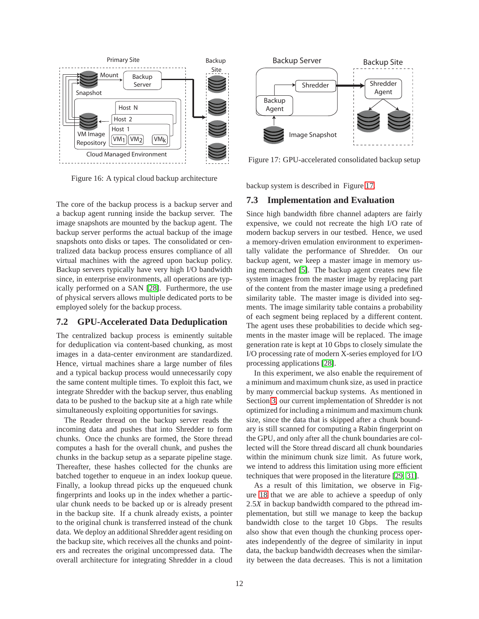

<span id="page-11-0"></span>Figure 16: A typical cloud backup architecture

The core of the backup process is a backup server and a backup agent running inside the backup server. The image snapshots are mounted by the backup agent. The backup server performs the actual backup of the image snapshots onto disks or tapes. The consolidated or centralized data backup process ensures compliance of all virtual machines with the agreed upon backup policy. Backup servers typically have very high I/O bandwidth since, in enterprise environments, all operations are typically performed on a SAN [\[28\]](#page-13-15). Furthermore, the use of physical servers allows multiple dedicated ports to be employed solely for the backup process.

### **7.2 GPU-Accelerated Data Deduplication**

The centralized backup process is eminently suitable for deduplication via content-based chunking, as most images in a data-center environment are standardized. Hence, virtual machines share a large number of files and a typical backup process would unnecessarily copy the same content multiple times. To exploit this fact, we integrate Shredder with the backup server, thus enabling data to be pushed to the backup site at a high rate while simultaneously exploiting opportunities for savings.

The Reader thread on the backup server reads the incoming data and pushes that into Shredder to form chunks. Once the chunks are formed, the Store thread computes a hash for the overall chunk, and pushes the chunks in the backup setup as a separate pipeline stage. Thereafter, these hashes collected for the chunks are batched together to enqueue in an index lookup queue. Finally, a lookup thread picks up the enqueued chunk fingerprints and looks up in the index whether a particular chunk needs to be backed up or is already present in the backup site. If a chunk already exists, a pointer to the original chunk is transferred instead of the chunk data. We deploy an additional Shredder agent residing on the backup site, which receives all the chunks and pointers and recreates the original uncompressed data. The overall architecture for integrating Shredder in a cloud



<span id="page-11-1"></span>Figure 17: GPU-accelerated consolidated backup setup

backup system is described in Figure [17.](#page-11-1)

#### **7.3 Implementation and Evaluation**

Since high bandwidth fibre channel adapters are fairly expensive, we could not recreate the high I/O rate of modern backup servers in our testbed. Hence, we used a memory-driven emulation environment to experimentally validate the performance of Shredder. On our backup agent, we keep a master image in memory using memcached [\[5\]](#page-13-16). The backup agent creates new file system images from the master image by replacing part of the content from the master image using a predefined similarity table. The master image is divided into segments. The image similarity table contains a probability of each segment being replaced by a different content. The agent uses these probabilities to decide which segments in the master image will be replaced. The image generation rate is kept at 10 Gbps to closely simulate the I/O processing rate of modern X-series employed for I/O processing applications [\[28\]](#page-13-15).

In this experiment, we also enable the requirement of a minimum and maximum chunk size, as used in practice by many commercial backup systems. As mentioned in Section [3,](#page-3-0) our current implementation of Shredder is not optimized for including a minimum and maximum chunk size, since the data that is skipped after a chunk boundary is still scanned for computing a Rabin fingerprint on the GPU, and only after all the chunk boundaries are collected will the Store thread discard all chunk boundaries within the minimum chunk size limit. As future work, we intend to address this limitation using more efficient techniques that were proposed in the literature [\[29,](#page-13-7) [31\]](#page-14-5).

As a result of this limitation, we observe in Figure [18](#page-12-2) that we are able to achieve a speedup of only 2.5*X* in backup bandwidth compared to the pthread implementation, but still we manage to keep the backup bandwidth close to the target 10 Gbps. The results also show that even though the chunking process operates independently of the degree of similarity in input data, the backup bandwidth decreases when the similarity between the data decreases. This is not a limitation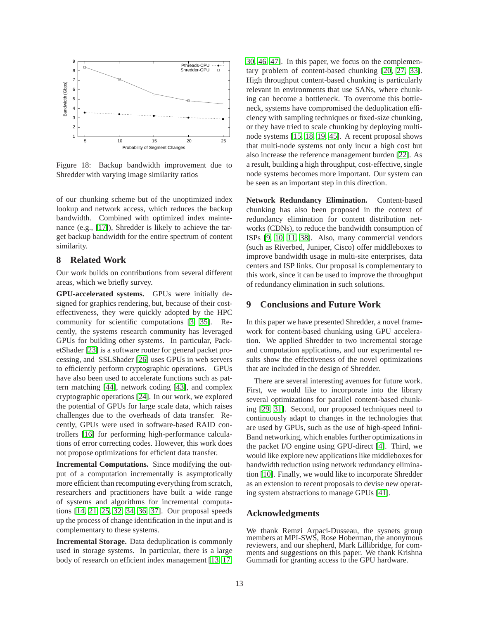

<span id="page-12-2"></span>Figure 18: Backup bandwidth improvement due to Shredder with varying image similarity ratios

of our chunking scheme but of the unoptimized index lookup and network access, which reduces the backup bandwidth. Combined with optimized index maintenance (e.g., [\[17\]](#page-13-17)), Shredder is likely to achieve the target backup bandwidth for the entire spectrum of content similarity.

#### <span id="page-12-0"></span>**8 Related Work**

Our work builds on contributions from several different areas, which we briefly survey.

**GPU-accelerated systems.** GPUs were initially designed for graphics rendering, but, because of their costeffectiveness, they were quickly adopted by the HPC community for scientific computations [\[3,](#page-13-18) [35\]](#page-14-9). Recently, the systems research community has leveraged GPUs for building other systems. In particular, PacketShader [\[23\]](#page-13-3) is a software router for general packet processing, and SSLShader [\[26\]](#page-13-4) uses GPUs in web servers to efficiently perform cryptographic operations. GPUs have also been used to accelerate functions such as pattern matching [\[44\]](#page-14-2), network coding [\[43\]](#page-14-1), and complex cryptographic operations [\[24\]](#page-13-5). In our work, we explored the potential of GPUs for large scale data, which raises challenges due to the overheads of data transfer. Recently, GPUs were used in software-based RAID controllers [\[16\]](#page-13-19) for performing high-performance calculations of error correcting codes. However, this work does not propose optimizations for efficient data transfer.

**Incremental Computations.** Since modifying the output of a computation incrementally is asymptotically more efficient than recomputing everything from scratch, researchers and practitioners have built a wide range of systems and algorithms for incremental computations [\[14,](#page-13-6) [21,](#page-13-14) [25,](#page-13-20) [32,](#page-14-7) [34,](#page-14-8) [36,](#page-14-10) [37\]](#page-14-11). Our proposal speeds up the process of change identification in the input and is complementary to these systems.

**Incremental Storage.** Data deduplication is commonly used in storage systems. In particular, there is a large body of research on efficient index management [\[13,](#page-13-21) [17,](#page-13-17) [30,](#page-13-22) [46,](#page-14-12) [47\]](#page-14-13). In this paper, we focus on the complementary problem of content-based chunking [\[20,](#page-13-23) [27,](#page-13-24) [33\]](#page-14-0). High throughput content-based chunking is particularly relevant in environments that use SANs, where chunking can become a bottleneck. To overcome this bottleneck, systems have compromised the deduplication efficiency with sampling techniques or fixed-size chunking, or they have tried to scale chunking by deploying multinode systems [\[15,](#page-13-25) [18,](#page-13-26) [19,](#page-13-27) [45\]](#page-14-14). A recent proposal shows that multi-node systems not only incur a high cost but also increase the reference management burden [\[22\]](#page-13-2). As a result, building a high throughput, cost-effective, single node systems becomes more important. Our system can be seen as an important step in this direction.

**Network Redundancy Elimination.** Content-based chunking has also been proposed in the context of redundancy elimination for content distribution networks (CDNs), to reduce the bandwidth consumption of ISPs [\[9,](#page-13-1) [10,](#page-13-28) [11,](#page-13-29) [38\]](#page-14-15). Also, many commercial vendors (such as Riverbed, Juniper, Cisco) offer middleboxes to improve bandwidth usage in multi-site enterprises, data centers and ISP links. Our proposal is complementary to this work, since it can be used to improve the throughput of redundancy elimination in such solutions.

# <span id="page-12-1"></span>**9 Conclusions and Future Work**

In this paper we have presented Shredder, a novel framework for content-based chunking using GPU acceleration. We applied Shredder to two incremental storage and computation applications, and our experimental results show the effectiveness of the novel optimizations that are included in the design of Shredder.

There are several interesting avenues for future work. First, we would like to incorporate into the library several optimizations for parallel content-based chunking [\[29,](#page-13-7) [31\]](#page-14-5). Second, our proposed techniques need to continuously adapt to changes in the technologies that are used by GPUs, such as the use of high-speed Infini-Band networking, which enables further optimizations in the packet I/O engine using GPU-direct [\[4\]](#page-13-13). Third, we would like explore new applications like middleboxes for bandwidth reduction using network redundancy elimination [\[10\]](#page-13-28). Finally, we would like to incorporate Shredder as an extension to recent proposals to devise new operating system abstractions to manage GPUs [\[41\]](#page-14-16).

#### **Acknowledgments**

We thank Remzi Arpaci-Dusseau, the sysnets group members at MPI-SWS, Rose Hoberman, the anonymous reviewers, and our shepherd, Mark Lillibridge, for comments and suggestions on this paper. We thank Krishna Gummadi for granting access to the GPU hardware.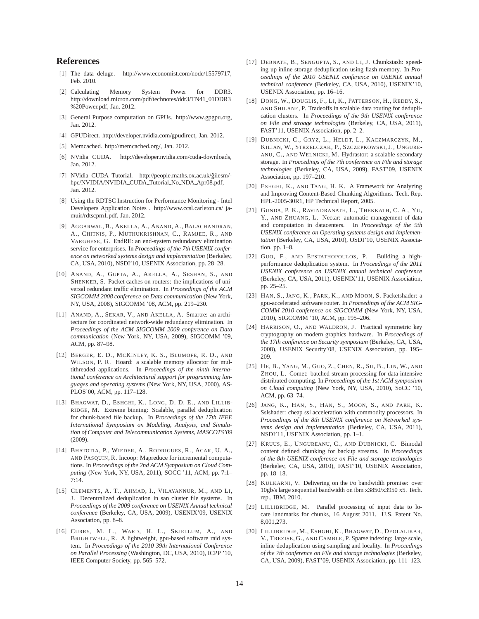# <span id="page-13-0"></span>**References**

- <span id="page-13-9"></span>[1] The data deluge. http://www.economist.com/node/15579717, Feb. 2010.
- [2] Calculating Memory System Power for DDR3. http://download.micron.com/pdf/technotes/ddr3/TN41\_01DDR3 %20Power.pdf, Jan. 2012.
- <span id="page-13-18"></span><span id="page-13-13"></span>[3] General Purpose computation on GPUs. http://www.gpgpu.org, Jan. 2012.
- <span id="page-13-16"></span>[4] GPUDirect. http://developer.nvidia.com/gpudirect, Jan. 2012.
- <span id="page-13-8"></span>[5] Memcached. http://memcached.org/, Jan. 2012.
- <span id="page-13-11"></span>[6] NVidia CUDA. http://developer.nvidia.com/cuda-downloads, Jan. 2012.
- [7] NVidia CUDA Tutorial. http://people.maths.ox.ac.uk/gilesm/hpc/NVIDIA/NVIDIA\_CUDA\_Tutorial\_No\_NDA\_Apr08.pdf, Jan. 2012.
- <span id="page-13-10"></span>[8] Using the RDTSC Instruction for Performance Monitoring - Intel Developers Application Notes . http://www.ccsl.carleton.ca/ jamuir/rdtscpm1.pdf, Jan. 2012.
- <span id="page-13-1"></span>[9] AGGARWAL, B., AKELLA, A., ANAND, A., BALACHANDRAN, A., CHITNIS, P., MUTHUKRISHNAN, C., RAMJEE, R., AND VARGHESE, G. EndRE: an end-system redundancy elimination service for enterprises. In *Proceedings of the 7th USENIX conference on networked systems design and implementation* (Berkeley, CA, USA, 2010), NSDI'10, USENIX Association, pp. 28–28.
- <span id="page-13-28"></span>[10] ANAND, A., GUPTA, A., AKELLA, A., SESHAN, S., AND SHENKER, S. Packet caches on routers: the implications of universal redundant traffic elimination. In *Proceedings of the ACM SIGCOMM 2008 conference on Data communication* (New York, NY, USA, 2008), SIGCOMM '08, ACM, pp. 219–230.
- <span id="page-13-29"></span>[11] ANAND, A., SEKAR, V., AND AKELLA, A. Smartre: an architecture for coordinated network-wide redundancy elimination. In *Proceedings of the ACM SIGCOMM 2009 conference on Data communication* (New York, NY, USA, 2009), SIGCOMM '09, ACM, pp. 87–98.
- <span id="page-13-12"></span>[12] BERGER, E. D., MCKINLEY, K. S., BLUMOFE, R. D., AND WILSON, P. R. Hoard: a scalable memory allocator for multithreaded applications. In *Proceedings of the ninth international conference on Architectural support for programming languages and operating systems* (New York, NY, USA, 2000), AS-PLOS'00, ACM, pp. 117–128.
- <span id="page-13-21"></span>[13] BHAGWAT, D., ESHGHI, K., LONG, D. D. E., AND LILLIB-RIDGE, M. Extreme binning: Scalable, parallel deduplication for chunk-based file backup. In *Proceedings of the 17th IEEE International Symposium on Modeling, Analysis, and Simulation of Computer and Telecommunication Systems, MASCOTS'09* (2009).
- <span id="page-13-6"></span>[14] BHATOTIA, P., WIEDER, A., RODRIGUES, R., ACAR, U. A., AND PASQUIN, R. Incoop: Mapreduce for incremental computations. In *Proceedings of the 2nd ACM Symposium on Cloud Computing* (New York, NY, USA, 2011), SOCC '11, ACM, pp. 7:1–  $7:14$
- <span id="page-13-25"></span>[15] CLEMENTS, A. T., AHMAD, I., VILAYANNUR, M., AND LI, J. Decentralized deduplication in san cluster file systems. In *Proceedings of the 2009 conference on USENIX Annual technical conference* (Berkeley, CA, USA, 2009), USENIX'09, USENIX Association, pp. 8–8.
- <span id="page-13-19"></span>[16] CURRY, M. L., WARD, H. L., SKJELLUM, A., AND BRIGHTWELL, R. A lightweight, gpu-based software raid system. In *Proceedings of the 2010 39th International Conference on Parallel Processing* (Washington, DC, USA, 2010), ICPP '10, IEEE Computer Society, pp. 565–572.
- <span id="page-13-17"></span>[17] DEBNATH, B., SENGUPTA, S., AND LI, J. Chunkstash: speeding up inline storage deduplication using flash memory. In *Proceedings of the 2010 USENIX conference on USENIX annual technical conference* (Berkeley, CA, USA, 2010), USENIX'10, USENIX Association, pp. 16–16.
- <span id="page-13-26"></span>[18] DONG, W., DOUGLIS, F., LI, K., PATTERSON, H., REDDY, S., AND SHILANE, P. Tradeoffs in scalable data routing for deduplication clusters. In *Proceedings of the 9th USENIX conference on File and stroage technologies* (Berkeley, CA, USA, 2011), FAST'11, USENIX Association, pp. 2–2.
- <span id="page-13-27"></span>[19] DUBNICKI, C., GRYZ, L., HELDT, L., KACZMARCZYK, M., KILIAN, W., STRZELCZAK, P., SZCZEPKOWSKI, J., UNGURE-ANU, C., AND WELNICKI, M. Hydrastor: a scalable secondary storage. In *Proccedings of the 7th conference on File and storage technologies* (Berkeley, CA, USA, 2009), FAST'09, USENIX Association, pp. 197–210.
- <span id="page-13-23"></span>[20] ESHGHI, K., AND TANG, H. K. A Framework for Analyzing and Improving Content-Based Chunking Algorithms. Tech. Rep. HPL-2005-30R1, HP Technical Report, 2005.
- <span id="page-13-14"></span>[21] GUNDA, P. K., RAVINDRANATH, L., THEKKATH, C. A., YU, Y., AND ZHUANG, L. Nectar: automatic management of data and computation in datacenters. In *Proceedings of the 9th USENIX conference on Operating systems design and implementation* (Berkeley, CA, USA, 2010), OSDI'10, USENIX Association, pp. 1–8.
- <span id="page-13-2"></span>[22] GUO, F., AND EFSTATHOPOULOS, P. Building a highperformance deduplication system. In *Proceedings of the 2011 USENIX conference on USENIX annual technical conference* (Berkeley, CA, USA, 2011), USENIX'11, USENIX Association, pp. 25–25.
- <span id="page-13-3"></span>[23] HAN, S., JANG, K., PARK, K., AND MOON, S. Packetshader: a gpu-accelerated software router. In *Proceedings of the ACM SIG-COMM 2010 conference on SIGCOMM* (New York, NY, USA, 2010), SIGCOMM '10, ACM, pp. 195–206.
- <span id="page-13-5"></span>[24] HARRISON, O., AND WALDRON, J. Practical symmetric key cryptography on modern graphics hardware. In *Proceedings of the 17th conference on Security symposium* (Berkeley, CA, USA, 2008), USENIX Security'08, USENIX Association, pp. 195– 209.
- <span id="page-13-20"></span>[25] HE, B., YANG, M., GUO, Z., CHEN, R., SU, B., LIN, W., AND ZHOU, L. Comet: batched stream processing for data intensive distributed computing. In *Proceedings of the 1st ACM symposium on Cloud computing* (New York, NY, USA, 2010), SoCC '10, ACM, pp. 63–74.
- <span id="page-13-4"></span>[26] JANG, K., HAN, S., HAN, S., MOON, S., AND PARK, K. Sslshader: cheap ssl acceleration with commodity processors. In *Proceedings of the 8th USENIX conference on Networked systems design and implementation* (Berkeley, CA, USA, 2011), NSDI'11, USENIX Association, pp. 1–1.
- <span id="page-13-24"></span>[27] KRUUS, E., UNGUREANU, C., AND DUBNICKI, C. Bimodal content defined chunking for backup streams. In *Proceedings of the 8th USENIX conference on File and storage technologies* (Berkeley, CA, USA, 2010), FAST'10, USENIX Association, pp. 18–18.
- <span id="page-13-15"></span>[28] KULKARNI, V. Delivering on the i/o bandwidth promise: over 10gb/s large sequential bandwidth on ibm x3850/x3950 x5. Tech. rep., IBM, 2010.
- <span id="page-13-7"></span>[29] LILLIBRIDGE, M. Parallel processing of input data to locate landmarks for chunks, 16 August 2011. U.S. Patent No. 8,001,273.
- <span id="page-13-22"></span>[30] LILLIBRIDGE, M., ESHGHI, K., BHAGWAT, D., DEOLALIKAR, V., TREZISE, G., AND CAMBLE, P. Sparse indexing: large scale, inline deduplication using sampling and locality. In *Proccedings of the 7th conference on File and storage technologies* (Berkeley, CA, USA, 2009), FAST'09, USENIX Association, pp. 111–123.